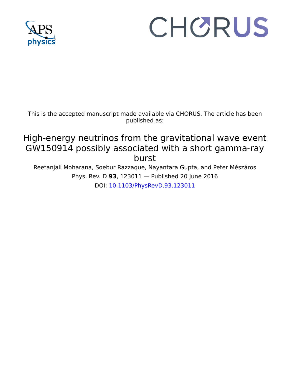

# CHORUS

This is the accepted manuscript made available via CHORUS. The article has been published as:

## High-energy neutrinos from the gravitational wave event GW150914 possibly associated with a short gamma-ray burst

Reetanjali Moharana, Soebur Razzaque, Nayantara Gupta, and Peter Mészáros Phys. Rev. D **93**, 123011 — Published 20 June 2016 DOI: 10.1103/PhysRevD.93.123011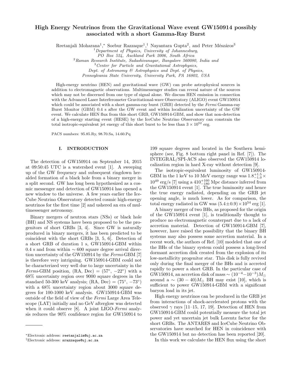### High Energy Neutrinos from the Gravitational Wave event GW150914 possibly associated with a short Gamma-Ray Burst

Reetanjali Moharana<sup>1</sup>,\* Soebur Razzaque<sup>1</sup>,<sup>†</sup> Nayantara Gupta<sup>2</sup>, and Peter Mészáros<sup>3</sup>

 $1$ Department of Physics, University of Johannesburg,

PO Box 524, Auckland Park 2006, South Africa

 $2$ Raman Research Institute, Sadashivanagar, Bangalore 560080, India and

 $3$  Center for Particle and Gravitational Astrophysics,

Dept. of Astronomy & Astrophysics and Dept. of Physics,

Pennsylvania State University, University Park, PA 16802, USA

High-energy neutrino (HEN) and gravitational wave (GW) can probe astrophysical sources in addition to electromagnetic observations. Multimessenger studies can reveal nature of the sources which may not be discerned from one type of signal alone. We discuss HEN emission in connection with the Advanced Laser Interferometer Gravitational-wave Observatory (ALIGO) event GW150914 which could be associated with a short gamma-ray burst (GRB) detected by the Fermi Gamma-ray Burst Monitor (GBM) 0.4 s after the GW event and within localization uncertainty of the GW event. We calculate HEN flux from this short GRB, GW150914-GBM, and show that non-detection of a high-energy starting event (HESE) by the IceCube Neutrino Observatory can constrain the total isotropic-equivalent jet energy of this short burst to be less than  $3 \times 10^{52}$  erg.

PACS numbers: 95.85.Ry, 98.70.Sa, 14.60.Pq

#### I. INTRODUCTION

The detection of GW150914 on September 14, 2015 at 09:50:45 UTC is a watershed event [1]. A sweeping up of the GW frequency and subsequent ringdown heralded formation of a black hole from a binary merger in a split second. GW has long been hypothesized as a cosmic messenger and detection of GW150914 has opened a new window to the universe. A few years earlier the Ice-Cube Neutrino Observatory detected cosmic high-energy neutrinos for the first time [2] and ushered an era of multimessenger astronomy.

Binary mergers of neutron stars (NSs) or black hole (BH) and NS systems have been proposed to be the progenitors of short GRBs [3, 4]. Since GW is naturally produced in binary mergers, it has been predicted to be coincident with the short GRBs [3, 5, 6]. Detection of a short GRB of duration 1 s, GW150914-GBM within 0.4 s and from within  $\sim 600$  square degree arrival direction uncertainty of the GW150914 by the Fermi-GBM [7] is therefore very intriguing. GW150914-GBM could not be characterized very well due to large uncertainty in the Fermi-GBM position,  $(RA, Dec) = (57^{\circ}, -22^{\circ})$  with a 68% uncertainty region over 9000 square degrees in the standard 50-300 keV analysis;  $(RA, Dec) = (75^{\circ}, -73^{\circ})$ with a  $68\%$  uncertainty region about 3000 square degrees for 100-1000 keV analysis. GW150914-GBM was outside of the field of view of the Fermi Large Area Telescope (LAT) initially and no GeV afterglow was detected when it could observe [8]. A joint LIGO-Fermi analysis reduces the 90% confidence region for GW150914 to

199 square degrees and located in the Southern hemisphere (see, Fig. 8 bottom right panel in Ref. [7]). The INTEGRAL/SPI-ACS also observed the GW150914 localization region in hard X-ray without detection [9].

The isotropic-equivalent luminosity of GW150914- GBM in the 1 keV to 10 MeV energy range was  $1.8^{+1.5}_{-1.0} \times$  $10^{49}$  erg/s  $[7]$  using a  $410^{+160}_{-180}$  Mpc distance inferred from the GW150914 event [1]. The true luminosity and hence the true energy radiated, depending on the GRB jet opening angle, is much lower. As for comparison, the total energy radiated in GW was  $(5.4\pm0.9) \times 10^{54}$  erg [1].

A binary merger of two BHs, as proposed for the origin of the GW150914 event [1], is traditionally thought to produce no electromagnetic counterpart due to a lack of accretion material. Detection of GW150914-GBM [7], however, have raised the possibility that the binary BH systems may also possess some accretion material. In a recent work, the authors of Ref. [10] modeled that one of the BHs of the binary system could possess a long-lived dormant accretion disk created from the explosion of its low-metallicity progenitor star. This disk is fully revived only during the final merger of the BHs and is accreted rapidly to power a short GRB. In the particular case of GW150914, an accretion disk of mass  $\sim (10^{-4}-10^{-3})M_{\odot}$ around a  $\sim (30 - 40)M_{\odot}$  BH may exist [10], which is sufficient to power GW150914-GBM with a significant baryon load in its jet.

High energy neutrinos can be produced in the GRB jet from interactions of shock-accelerated protons with the observed  $\gamma$  rays [11–15, 17, 19]. Detection of HEN from GW150914-GBM could potentially measure the total jet power and yet uncertain jet bulk Lorentz factor for the short GRBs. The ANTARES and IceCube Neutrino Observatories have searched for HEN in coincidence with the GW150914 but no detection has been reported [20].

In this work we calculate the HEN flux using the short

<sup>∗</sup>Electronic address: reetanjalim@uj.ac.za

<sup>†</sup>Electronic address: srazzaque@uj.ac.za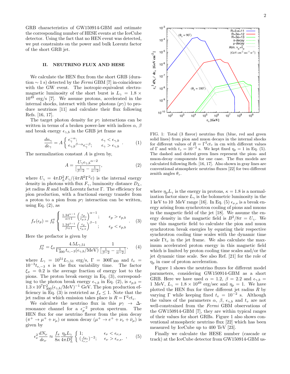GRB characteristics of GW150914-GBM and estimate the corresponding number of HESE events at the IceCube detector. Using the fact that no HEN event was detected, we put constraints on the power and bulk Lorentz factor of the short GRB jet.

#### II. NEUTRINO FLUX AND HESE

We calculate the HEN flux from the short GRB (duration  $\sim$  1 s) detected by the *Fermi* GBM [7] in-coincidence with the GW event. The isotropic-equivalent electromagnetic luminosity of the short burst is  $L_{\gamma} = 1.8 \times$  $10^{49}$  erg/s [7]. We assume protons, accelerated in the internal shocks, interact with these photons  $(p\gamma)$  to produce neutrinos [11] and calculate their flux following Refs. [16, 17].

The target photon density for  $p\gamma$  interactions can be written in terms of a broken power-law with indices  $\alpha$ ,  $\beta$ and break energy  $\epsilon_{\gamma,b}$  in the GRB jet frame as

$$
\frac{dn_{\gamma}}{d\epsilon_{\gamma}} = A \begin{cases} \epsilon_{\gamma}^{-\alpha}; & \epsilon_{\gamma} < \epsilon_{\gamma,b} \\ \epsilon_{\gamma,b}{}^{\beta-\alpha} \epsilon_{\gamma}^{-\beta}; & \epsilon_{\gamma} > \epsilon_{\gamma,b} \end{cases} . \tag{1}
$$

The normalization constant A is given by,

$$
A = \frac{U_{\gamma} \epsilon_{\gamma,b} \alpha - 2}{\left[\frac{1}{\beta - 2} - \frac{1}{\alpha - 2}\right]},\tag{2}
$$

where  $U_{\gamma} = 4\pi D_L^2 F_{\gamma}/(4\pi R^2 \Gamma^2 c)$  is the internal energy density in photons with flux  $F_{\gamma}$ , luminosity distance  $D_L$ , jet radius  $R$  and bulk Lorentz factor  $\Gamma$ . The efficiency for pion production, with a fractional energy transfer from a proton to a pion from  $p\gamma$  interaction can be written, using Eq.  $(2)$ , as

$$
f_{\pi}(\epsilon_p) = f_0^{\pi} \begin{cases} \frac{1.34^{\alpha - 1}}{\alpha + 1} \left( \frac{\epsilon_p}{\epsilon_{p,b}} \right)^{\alpha - 1}; & \epsilon_p > \epsilon_{p,b} \\ \frac{1.34^{\beta - 1}}{\beta + 1} \left( \frac{\epsilon_p}{\epsilon_{p,b}} \right)^{\beta - 1}; & \epsilon_p < \epsilon_{p,b} \end{cases} . \quad (3)
$$

Here the prefactor is given by

$$
f_0^{\pi} = \xi_{\pi} \frac{4.5L_{\gamma,51}}{\Gamma_{300}^4 t_{v,-3}(\epsilon_{\gamma,b}/\text{MeV})} \frac{1}{\left[\frac{1}{\beta - 2} - \frac{1}{\alpha - 2}\right]},\qquad(4)
$$

where  $L_{\gamma} = 10^{51} L_{\gamma,51} \text{ erg/s}, \Gamma = 300 \Gamma_{300} \text{ and } t_v =$  $10^{-3}t_{v,-3}$  s is the flux variability time. The factor  $\xi_{\pi} = 0.2$  is the average fraction of energy lost to the pions. The proton break energy in Eq. (3), corresponding to the photon break energy  $\epsilon_{\gamma,b}$  in Eq. (2), is  $\epsilon_{p,b}$  =  $1.3 \times 10^7 \Gamma_{300}^2 (\epsilon_{\gamma,b}/\mathrm{MeV})^{-1}$  GeV. The pion production efficiency in Eq. (3) is restricted as  $f_{\pi} \leq 1$ . Note that the jet radius at which emission takes place is  $R = \Gamma^2 c t_v$ .

We calculate the neutrino flux in this  $p\gamma \rightarrow \Delta$ resonance channel for a  $\epsilon_p^{-2}$  proton spectrum. The HEN flux for one neutrino flavor from the pion decay  $(\pi^+ \to \mu^+ + \nu_\mu)$  or muon decay  $(\mu^+ \to e^+ + \nu_e + \bar{\nu}_\mu)$  is given by

$$
\epsilon_{\nu}^2 \frac{dN_{\nu}}{d\epsilon_{\nu}} \approx \frac{f_{\pi}}{8\kappa} \frac{\eta_p L_{\gamma}}{4\pi D_L^2} \left\{ \begin{array}{ll} 1; & \epsilon_{\nu} < \epsilon_{\nu,s} \\ (\frac{\epsilon_{\nu}}{\epsilon_{\nu,s}})^{-2}; & \epsilon_{\nu} > \epsilon_{\nu,s} \end{array} \right., \tag{5}
$$



FIG. 1: Total (3 flavor) neutrino flux (blue, red and green solid lines) from pion and muon decays in the internal shocks for different values of  $R = \Gamma^2 c t_v$  in cm with different values of  $\Gamma$  and with  $t_v = 10^{-2}$  s. We kept fixed  $\eta_p = 1$  in Eq. (5). The dashed and dotted green lines represent the pion- and muon-decay components for one case. The flux models are calculated following Refs. [16, 17]. Also shown in gray lines are conventional atmospheric neutrino fluxes [22] for two different zenith angles  $\theta_z$ .

where  $\eta_p L_\gamma$  is the energy in protons,  $\kappa = 1.8$  is a normalization factor since  $L_{\gamma}$  is the bolometric luminosity in the 1 keV to 10 MeV range [16]. In Eq. (5)  $\epsilon_{\nu,s}$  is a break energy arising from synchrotron cooling of pions and muons in the magnetic field of the jet [18]. We assume the energy density in the magnetic field is  $B^2/8\pi = U_\gamma$ . We use this magnetic field to calculate the pion and muon synchrotron break energies by equating their respective synchrotron cooling time scales with the dynamic time scale  $\Gamma t_v$  in the jet frame. We also calculate the maximum accelerated proton energy in this magnetic field which is limited by proton cooling time scales and/or the jet dynamic time scale. See also Ref. [21] for the role of  $\eta_p$  in case of proton acceleration.

Figure 1 shows the neutrino fluxes for different model parameters, considering GW150914-GBM as a short GRB. Here we have used  $\alpha = 1.2, \beta = 2.2$  and  $\epsilon_{\gamma,b} =$ 1 MeV,  $L_{\gamma} = 1.8 \times 10^{49} \text{ erg/sec}$  and  $\eta_p = 1$ . We have plotted the HEN flux for three different jet radius  $R$  by varying  $\Gamma$  while keeping fixed  $t_v = 10^{-2}$  s. Although the values of the parameters  $\alpha$ ,  $\beta$ ,  $\epsilon_{\gamma,b}$  and  $t_v$  are not well-constrained from the Fermi GBM observations of the GW150914-GBM [7], they are within typical ranges of their values for short GRBs. Figure 1 also shows conventional atmospheric neutrino flux [22] which has been measured by IceCube up to 400 TeV [23].

Finally we calculate the HESE number (cascade or track) at the IceCube detector from GW150914-GBM us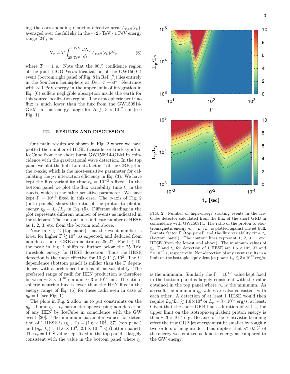ing the corresponding neutrino effective area  $A_{\nu, \text{eff}}(\epsilon_{\nu}),$ averaged over the full sky in the  $\sim 25$  TeV - 1 PeV energy range [24], as

$$
N_{\nu} = T \int_{25 \text{ TeV}}^{1 \text{ PeV}} \frac{dN_{\nu}}{d\epsilon_{\nu}} A_{\nu,\text{eff}}(\epsilon_{\nu}) d\epsilon_{\nu}, \tag{6}
$$

where  $T = 1$  s. Note that the 90% confidence region of the joint LIGO-Fermi localization of the GW150914 event (bottom right panel of Fig. 8 in Ref. [7]) lies entirely in the Southern hemisphere at  $Dec < -60°$ . Neutrinos with  $\sim$  1 PeV energy in the upper limit of integration in Eq. (6) suffers negligible absorption inside the earth for this source localization region. The atmospheric neutrino flux is much lower than the flux from the GW150914- GBM in this energy range for  $R \leq 3 \times 10^{12}$  cm (see Fig. 1).

#### III. RESULTS AND DISCUSSION

Our main results are shown in Fig. 2 where we have plotted the number of HESE (cascade- or track-type) in IceCube from the short burst GW150914-GBM in coincidence with the gravitational wave detection. In the top panel we plot the bulk Lorentz factor Γ of the GRB jet in the  $x$ -axis, which is the most-sensitive parameter for calculating the  $p\gamma$  interaction efficiency in Eq. (3). We have kept the flux variability time  $t_v = 10^{-2}$  s fixed. In the bottom panel we plot the flux variability time  $t_v$  in the x-axis, which is the other sensitive parameter. We have kept  $\Gamma = 10^{1.5}$  fixed in this case. The y-axis of Fig. 2 (both panels) shows the ratio of the proton to photon energy  $\eta_p = L_p/L_\gamma$  in Eq. (5). Different shading in the plot represents different number of events as indicated in the sidebars. The contour lines indicate number of HESE as 1, 2, 3, etc. from the bottom and above.

Note in Fig. 2 (top panel) that the event number is lower for higher  $\Gamma \gtrsim 10^2$ , as expected, and deduced from non-detection of GRBs in neutrinos [25–27]. For  $\Gamma \lesssim 10$ , the peak in Fig. 1 shifts to further below the 25 TeV threshold energy for HESE detection. Thus the HESE detection is the most effective for  $10 \lesssim \Gamma \lesssim 10^2$ . The  $t_v$ dependence (bottom panel) is milder than the Γ dependence, with a preference for tens of ms variability. The preferred range of radii for HEN production is therefore between  $\sim 3 \times 10^{10}$  cm and  $\sim 3 \times 10^{12}$  cm. The atmospheric neutrino flux is lower than the HEN flux in the energy range of Eq. (6) for these radii even in case of  $\eta_p = 1$  (see Fig. 1).

The plots in Fig. 2 allow us to put constraints on the  $\eta_p - \Gamma$  and  $\eta_p - t_v$  parameter spaces using non-detection of any HEN by IceCube in coincidence with the GW event [20]. The minimum parameter values for detection of 1 HESE is  $(\eta_p, \Gamma) = (1.6 \times 10^3, 37)$  (top panel) and  $(\eta_p, t_v) = (1.6 \times 10^3, 2.1 \times 10^{-2} \text{ s})$  (bottom panel). The  $t_v = 10^{-2}$  value kept fixed in the top panel is largely consistent with the value in the bottom panel where  $\eta_p$ 



FIG. 2: Number of high-energy starting events in the Ice-Cube detector calculated from the flux of the short GRB in coincidence with GW150914. The ratio of the proton to electromagnetic energy  $\eta_p = L_p/L_\gamma$  is plotted against the jet bulk Lorentz factor  $\Gamma$  (top panel) and the flux variability time  $t_v$ (bottom panel). The contour lines represent 1, 2, 3 ... etc. HESE (from the lowest and above). The minimum values of  $\eta_p$ ,  $\Gamma$  and  $t_v$  for detection of 1 HESE are  $1.6 \times 10^3$ , 37 and  $2\times10^{-2}$  s, respectively. Non-detection of any event results in a limit on the isotropic-equivalent jet power  $L_p \lesssim 3 \times 10^{52} \text{ erg/s}.$ 

is the minimum. Similarly the  $\Gamma = 10^{1.5}$  value kept fixed in the bottom panel is largely consistent with the value obtained in the top panel where  $\eta_p$  is the minimum. As a result the minimum  $\eta_p$  values are also consistent with each other. A detection of at least 1 HESE would then require  $L_p/L_\gamma \gtrsim 1.6 \times 10^3$  or  $L_p \sim 3 \times 10^{52}$  erg/s, at least. Given that the short GRB had a duration of  $\sim$  1 s, the upper limit on the isotropic-equivalent proton energy is then  $\sim 3 \times 10^{52}$  erg. Because of the relativistic beaming effect the true GRB jet energy must be smaller by roughly two orders of magnitude. This implies that  $\ll 0.5\%$  of the energy was emitted as kinetic energy as compared to the GW energy.